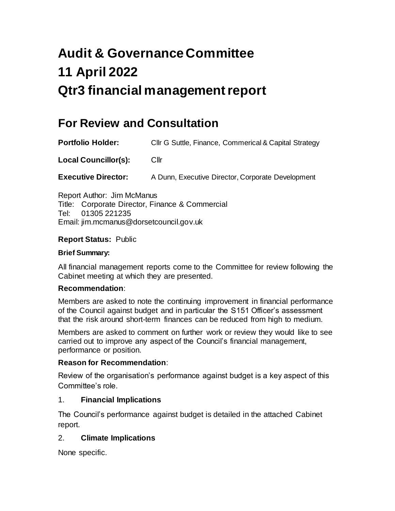# **Audit & Governance Committee 11 April 2022 Qtr3 financial management report**

# **For Review and Consultation**

**Portfolio Holder:** Cllr G Suttle, Finance, Commerical & Capital Strategy

<span id="page-0-0"></span>**[Local](#page-0-0) Councillor(s):** Cllr

**Executive Director:** A Dunn, Executive Director, Corporate Development

Report Author: Jim McManus Title: Corporate Director, Finance & Commercial Tel: 01305 221235 Email: jim.mcmanus@dorsetcouncil.gov.uk

#### **Report Status:** Public

#### <span id="page-0-1"></span>**[Brief](#page-0-1) Summary:**

All financial management reports come to the Committee for review following the Cabinet meeting at which they are presented.

#### **[Recommendation](#page-0-1)**:

Members are asked to note the continuing improvement in financial performance of the Council against budget and in particular the S151 Officer's assessment that the risk around short-term finances can be reduced from high to medium.

Members are asked to comment on further work or review they would like to see carried out to improve any aspect of the Council's financial management, performance or position.

#### <span id="page-0-2"></span>**[Reason](#page-0-2) for Recommendation**:

Review of the organisation's performance against budget is a key aspect of this Committee's role.

#### <span id="page-0-4"></span><span id="page-0-3"></span>1. **[Financial](#page-0-3) Implications**

The Council's performance against budget is detailed in the attached Cabinet report.

## 2. **[Climate](#page-1-0) Implications**

None specific.